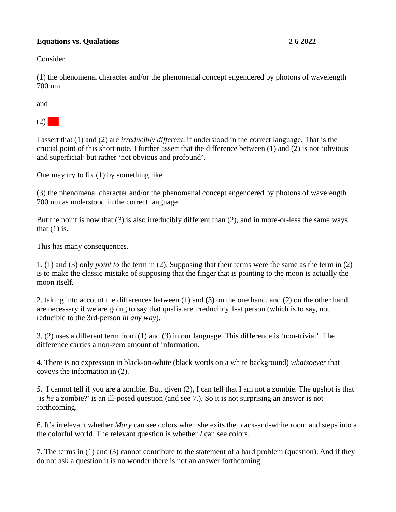## **Equations vs. Qualations 2 6 2022**

Consider

(1) the phenomenal character and/or the phenomenal concept engendered by photons of wavelength 700 nm

and

 $(2)$ 

I assert that (1) and (2) are *irreducibly different*, if understood in the correct language. That is the crucial point of this short note. I further assert that the difference between (1) and (2) is not 'obvious and superficial' but rather 'not obvious and profound'.

One may try to fix (1) by something like

(3) the phenomenal character and/or the phenomenal concept engendered by photons of wavelength 700 nm as understood in the correct language

But the point is now that (3) is also irreducibly different than (2), and in more-or-less the same ways that  $(1)$  is.

This has many consequences.

1. (1) and (3) only *point to* the term in (2). Supposing that their terms were the same as the term in (2) is to make the classic mistake of supposing that the finger that is pointing to the moon is actually the moon itself.

2. taking into account the differences between (1) and (3) on the one hand, and (2) on the other hand, are necessary if we are going to say that qualia are irreducibly 1-st person (which is to say, not reducible to the 3rd-person *in any way*).

3. (2) uses a different term from (1) and (3) in our language. This difference is 'non-trivial'. The difference carries a non-zero amount of information.

4. There is no expression in black-on-white (black words on a white background) *whatsoever* that coveys the information in (2).

*5.* I cannot tell if you are a zombie. But, given (2), I can tell that I am not a zombie. The upshot is that 'is *he* a zombie?' is an ill-posed question (and see 7.). So it is not surprising an answer is not forthcoming.

6. It's irrelevant whether *Mary* can see colors when she exits the black-and-white room and steps into a the colorful world. The relevant question is whether *I* can see colors.

7. The terms in (1) and (3) cannot contribute to the statement of a hard problem (question). And if they do not ask a question it is no wonder there is not an answer forthcoming.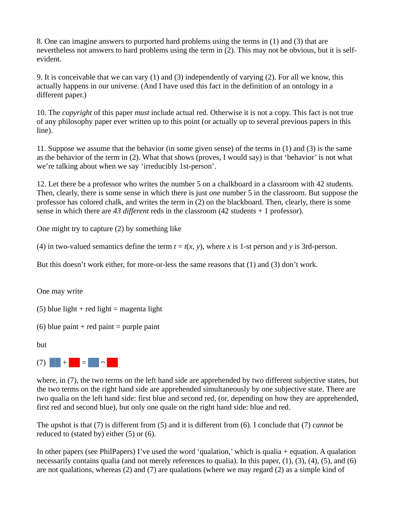8. One can imagine answers to purported hard problems using the terms in (1) and (3) that are nevertheless not answers to hard problems using the term in (2). This may not be obvious, but it is selfevident.

9. It is conceivable that we can vary (1) and (3) independently of varying (2). For all we know, this actually happens in our universe. (And I have used this fact in the definition of an ontology in a different paper.)

10. The *copyright* of this paper *must* include actual red. Otherwise it is not a copy. This fact is not true of any philosophy paper ever written up to this point (or actually up to several previous papers in this line).

11. Suppose we assume that the behavior (in some given sense) of the terms in (1) and (3) is the same as the behavior of the term in (2). What that shows (proves, I would say) is that 'behavior' is not what we're talking about when we say 'irreducibly 1st-person'.

12. Let there be a professor who writes the number 5 on a chalkboard in a classroom with 42 students. Then, clearly, there is some sense in which there is just *one* number 5 in the classroom. But suppose the professor has colored chalk, and writes the term in (2) on the blackboard. Then, clearly, there is some sense in which there are *43 different* reds in the classroom (42 students + 1 professor).

One might try to capture (2) by something like

(4) in two-valued semantics define the term  $t = t(x, y)$ , where *x* is 1-st person and *y* is 3rd-person.

But this doesn't work either, for more-or-less the same reasons that (1) and (3) don't work.

One may write

(5) blue light  $+$  red light  $=$  magenta light

(6) blue paint  $+$  red paint  $=$  purple paint

but



where, in (7), the two terms on the left hand side are apprehended by two different subjective states, but the two terms on the right hand side are apprehended simultaneously by one subjective state. There are two qualia on the left hand side: first blue and second red, (or, depending on how they are apprehended, first red and second blue), but only one quale on the right hand side: blue and red.

The upshot is that (7) is different from (5) and it is different from (6). I conclude that (7) *cannot* be reduced to (stated by) either (5) or (6).

In other papers (see PhilPapers) I've used the word 'qualation,' which is qualia + equation. A qualation necessarily contains qualia (and not merely references to qualia). In this paper, (1), (3), (4), (5), and (6) are not qualations, whereas (2) and (7) are qualations (where we may regard (2) as a simple kind of